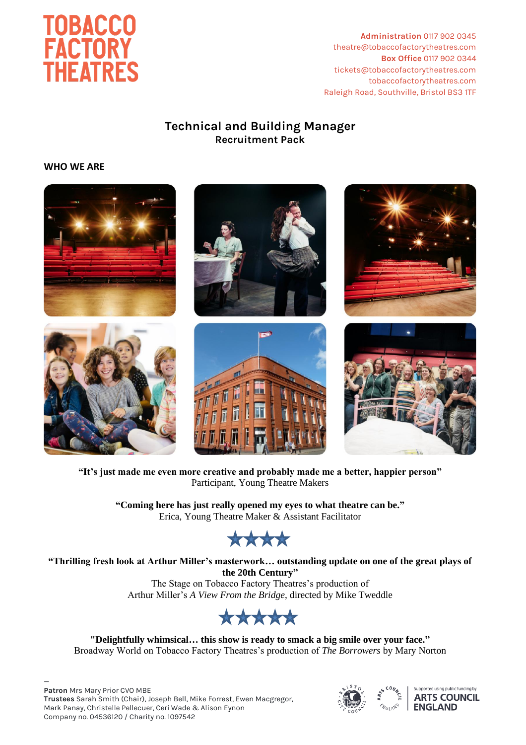

**Administration** 0117 902 0345 theatre@tobaccofactorytheatres.com  **Box Office** 0117 902 0344 tickets@tobaccofactorytheatres.com tobaccofactorytheatres.com Raleigh Road, Southville, Bristol BS3 1TF

# **Technical and Building Manager Recruitment Pack**

#### **WHO WE ARE**



**"It's just made me even more creative and probably made me a better, happier person"**  Participant, Young Theatre Makers

**"Coming here has just really opened my eyes to what theatre can be."** Erica, Young Theatre Maker & Assistant Facilitator



**"Thrilling fresh look at Arthur Miller's masterwork… outstanding update on one of the great plays of the 20th Century"**

The Stage on Tobacco Factory Theatres's production of Arthur Miller's *A View From the Bridge*, directed by Mike Tweddle



**"Delightfully whimsical… this show is ready to smack a big smile over your face."** Broadway World on Tobacco Factory Theatres's production of *The Borrowers* by Mary Norton

—

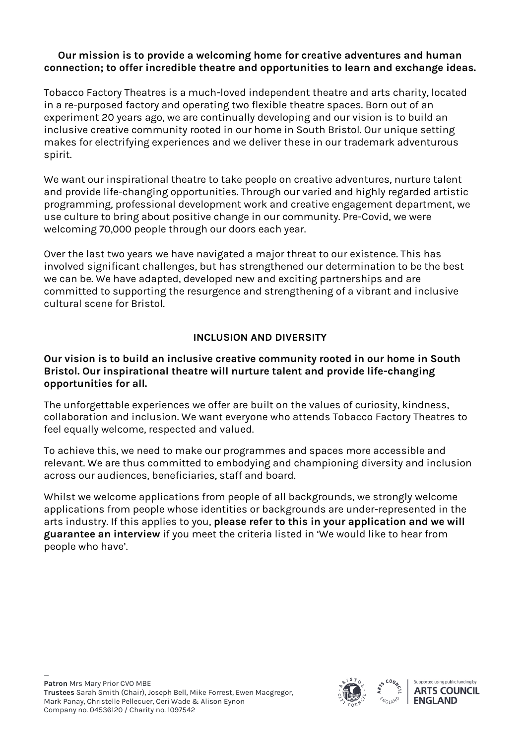## **Our mission is to provide a welcoming home for creative adventures and human connection; to offer incredible theatre and opportunities to learn and exchange ideas.**

Tobacco Factory Theatres is a much-loved independent theatre and arts charity, located in a re-purposed factory and operating two flexible theatre spaces. Born out of an experiment 20 years ago, we are continually developing and our vision is to build an inclusive creative community rooted in our home in South Bristol. Our unique setting makes for electrifying experiences and we deliver these in our trademark adventurous spirit.

We want our inspirational theatre to take people on creative adventures, nurture talent and provide life-changing opportunities. Through our varied and highly regarded artistic programming, professional development work and creative engagement department, we use culture to bring about positive change in our community. Pre-Covid, we were welcoming 70,000 people through our doors each year.

Over the last two years we have navigated a major threat to our existence. This has involved significant challenges, but has strengthened our determination to be the best we can be. We have adapted, developed new and exciting partnerships and are committed to supporting the resurgence and strengthening of a vibrant and inclusive cultural scene for Bristol.

# **INCLUSION AND DIVERSITY**

#### **Our vision is to build an inclusive creative community rooted in our home in South Bristol. Our inspirational theatre will nurture talent and provide life-changing opportunities for all.**

The unforgettable experiences we offer are built on the values of curiosity, kindness, collaboration and inclusion. We want everyone who attends Tobacco Factory Theatres to feel equally welcome, respected and valued.

To achieve this, we need to make our programmes and spaces more accessible and relevant. We are thus committed to embodying and championing diversity and inclusion across our audiences, beneficiaries, staff and board.

Whilst we welcome applications from people of all backgrounds, we strongly welcome applications from people whose identities or backgrounds are under-represented in the arts industry. If this applies to you, **please refer to this in your application and we will guarantee an interview** if you meet the criteria listed in 'We would like to hear from people who have'.



**ARTS COUNCIL ENGLAND**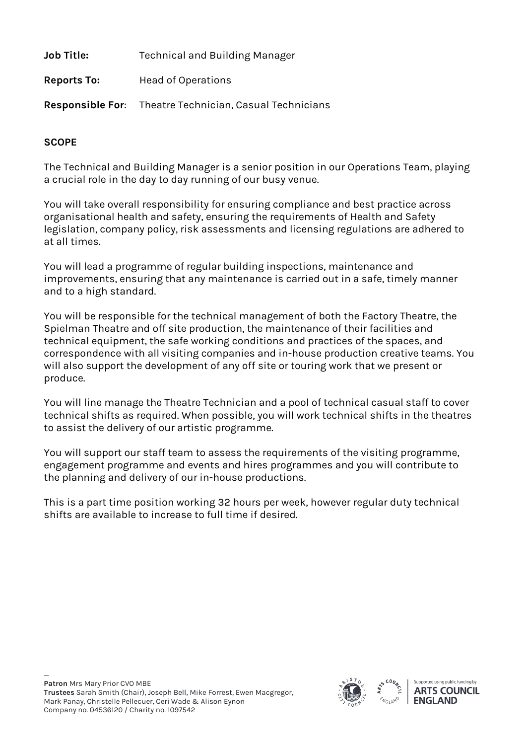**Job Title:** Technical and Building Manager

**Reports To:** Head of Operations

**Responsible For**: Theatre Technician, Casual Technicians

# **SCOPE**

The Technical and Building Manager is a senior position in our Operations Team, playing a crucial role in the day to day running of our busy venue.

You will take overall responsibility for ensuring compliance and best practice across organisational health and safety, ensuring the requirements of Health and Safety legislation, company policy, risk assessments and licensing regulations are adhered to at all times.

You will lead a programme of regular building inspections, maintenance and improvements, ensuring that any maintenance is carried out in a safe, timely manner and to a high standard.

You will be responsible for the technical management of both the Factory Theatre, the Spielman Theatre and off site production, the maintenance of their facilities and technical equipment, the safe working conditions and practices of the spaces, and correspondence with all visiting companies and in-house production creative teams. You will also support the development of any off site or touring work that we present or produce.

You will line manage the Theatre Technician and a pool of technical casual staff to cover technical shifts as required. When possible, you will work technical shifts in the theatres to assist the delivery of our artistic programme.

You will support our staff team to assess the requirements of the visiting programme, engagement programme and events and hires programmes and you will contribute to the planning and delivery of our in-house productions.

This is a part time position working 32 hours per week, however regular duty technical shifts are available to increase to full time if desired.

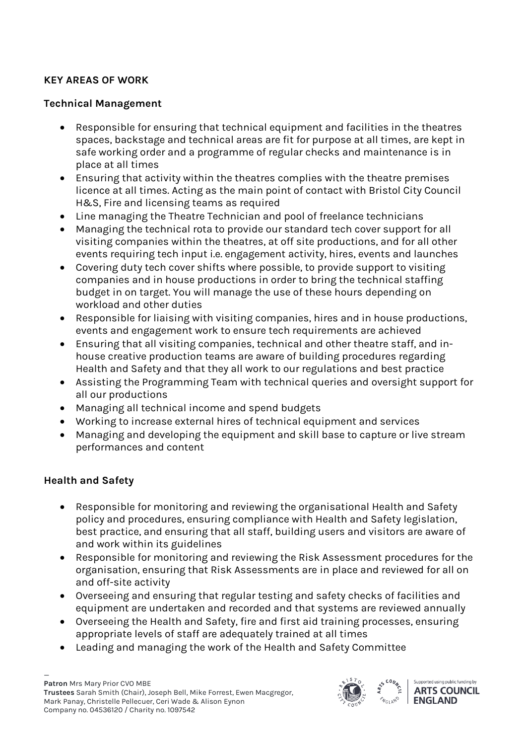# **KEY AREAS OF WORK**

## **Technical Management**

- Responsible for ensuring that technical equipment and facilities in the theatres spaces, backstage and technical areas are fit for purpose at all times, are kept in safe working order and a programme of regular checks and maintenance is in place at all times
- Ensuring that activity within the theatres complies with the theatre premises licence at all times. Acting as the main point of contact with Bristol City Council H&S, Fire and licensing teams as required
- Line managing the Theatre Technician and pool of freelance technicians
- Managing the technical rota to provide our standard tech cover support for all visiting companies within the theatres, at off site productions, and for all other events requiring tech input i.e. engagement activity, hires, events and launches
- Covering duty tech cover shifts where possible, to provide support to visiting companies and in house productions in order to bring the technical staffing budget in on target. You will manage the use of these hours depending on workload and other duties
- Responsible for liaising with visiting companies, hires and in house productions, events and engagement work to ensure tech requirements are achieved
- Ensuring that all visiting companies, technical and other theatre staff, and inhouse creative production teams are aware of building procedures regarding Health and Safety and that they all work to our regulations and best practice
- Assisting the Programming Team with technical queries and oversight support for all our productions
- Managing all technical income and spend budgets
- Working to increase external hires of technical equipment and services
- Managing and developing the equipment and skill base to capture or live stream performances and content

# **Health and Safety**

- Responsible for monitoring and reviewing the organisational Health and Safety policy and procedures, ensuring compliance with Health and Safety legislation, best practice, and ensuring that all staff, building users and visitors are aware of and work within its guidelines
- Responsible for monitoring and reviewing the Risk Assessment procedures for the organisation, ensuring that Risk Assessments are in place and reviewed for all on and off-site activity
- Overseeing and ensuring that regular testing and safety checks of facilities and equipment are undertaken and recorded and that systems are reviewed annually
- Overseeing the Health and Safety, fire and first aid training processes, ensuring appropriate levels of staff are adequately trained at all times
- Leading and managing the work of the Health and Safety Committee



Supported using public funding by **ARTS COUNCIL ENGLAND**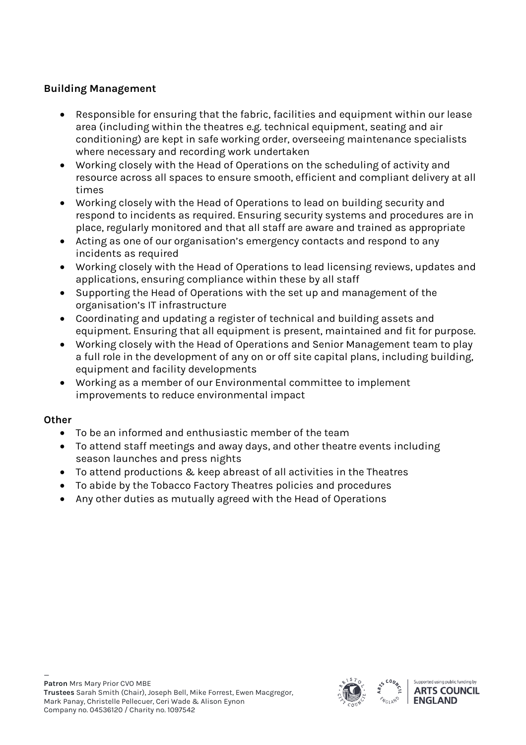# **Building Management**

- Responsible for ensuring that the fabric, facilities and equipment within our lease area (including within the theatres e.g. technical equipment, seating and air conditioning) are kept in safe working order, overseeing maintenance specialists where necessary and recording work undertaken
- Working closely with the Head of Operations on the scheduling of activity and resource across all spaces to ensure smooth, efficient and compliant delivery at all times
- Working closely with the Head of Operations to lead on building security and respond to incidents as required. Ensuring security systems and procedures are in place, regularly monitored and that all staff are aware and trained as appropriate
- Acting as one of our organisation's emergency contacts and respond to any incidents as required
- Working closely with the Head of Operations to lead licensing reviews, updates and applications, ensuring compliance within these by all staff
- Supporting the Head of Operations with the set up and management of the organisation's IT infrastructure
- Coordinating and updating a register of technical and building assets and equipment. Ensuring that all equipment is present, maintained and fit for purpose.
- Working closely with the Head of Operations and Senior Management team to play a full role in the development of any on or off site capital plans, including building, equipment and facility developments
- Working as a member of our Environmental committee to implement improvements to reduce environmental impact

#### **Other**

- To be an informed and enthusiastic member of the team
- To attend staff meetings and away days, and other theatre events including season launches and press nights
- To attend productions & keep abreast of all activities in the Theatres
- To abide by the Tobacco Factory Theatres policies and procedures
- Any other duties as mutually agreed with the Head of Operations

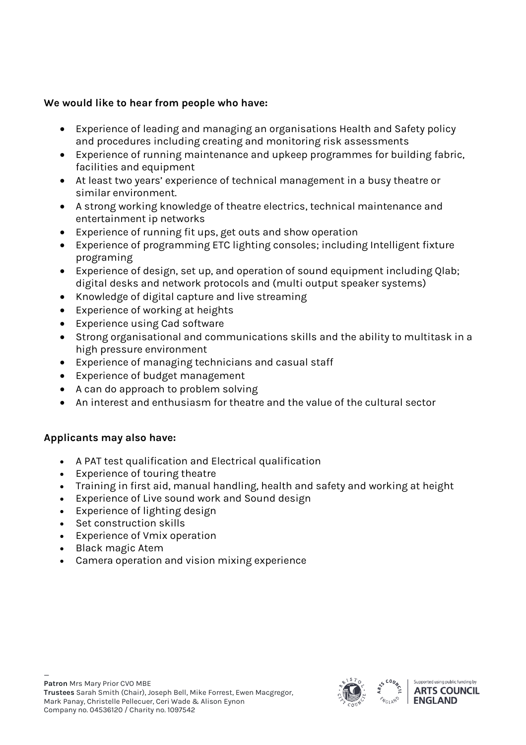## **We would like to hear from people who have:**

- Experience of leading and managing an organisations Health and Safety policy and procedures including creating and monitoring risk assessments
- Experience of running maintenance and upkeep programmes for building fabric, facilities and equipment
- At least two years' experience of technical management in a busy theatre or similar environment.
- A strong working knowledge of theatre electrics, technical maintenance and entertainment ip networks
- Experience of running fit ups, get outs and show operation
- Experience of programming ETC lighting consoles; including Intelligent fixture programing
- Experience of design, set up, and operation of sound equipment including Qlab; digital desks and network protocols and (multi output speaker systems)
- Knowledge of digital capture and live streaming
- Experience of working at heights
- Experience using Cad software
- Strong organisational and communications skills and the ability to multitask in a high pressure environment
- Experience of managing technicians and casual staff
- Experience of budget management
- A can do approach to problem solving
- An interest and enthusiasm for theatre and the value of the cultural sector

# **Applicants may also have:**

- A PAT test qualification and Electrical qualification
- Experience of touring theatre
- Training in first aid, manual handling, health and safety and working at height
- Experience of Live sound work and Sound design
- Experience of lighting design
- Set construction skills
- Experience of Vmix operation
- Black magic Atem
- Camera operation and vision mixing experience

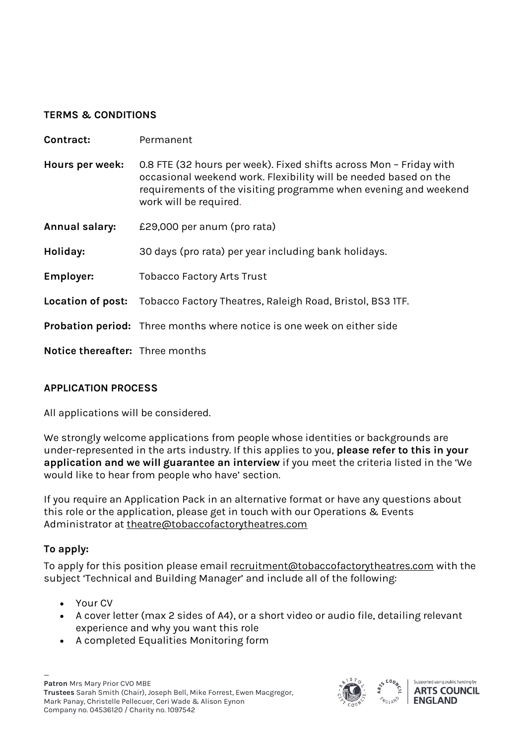#### **TERMS & CONDITIONS**

| Contract:                       | Permanent                                                                                                                                                                                                                           |
|---------------------------------|-------------------------------------------------------------------------------------------------------------------------------------------------------------------------------------------------------------------------------------|
| Hours per week:                 | 0.8 FTE (32 hours per week). Fixed shifts across Mon - Friday with<br>occasional weekend work. Flexibility will be needed based on the<br>requirements of the visiting programme when evening and weekend<br>work will be required. |
| <b>Annual salary:</b>           | £29,000 per anum (pro rata)                                                                                                                                                                                                         |
| Holiday:                        | 30 days (pro rata) per year including bank holidays.                                                                                                                                                                                |
| <b>Employer:</b>                | <b>Tobacco Factory Arts Trust</b>                                                                                                                                                                                                   |
|                                 | Location of post: Tobacco Factory Theatres, Raleigh Road, Bristol, BS3 1TF.                                                                                                                                                         |
|                                 | Probation period: Three months where notice is one week on either side                                                                                                                                                              |
| Notice thereafter: Three months |                                                                                                                                                                                                                                     |

## **APPLICATION PROCESS**

All applications will be considered.

We strongly welcome applications from people whose identities or backgrounds are under-represented in the arts industry. If this applies to you, **please refer to this in your application and we will guarantee an interview** if you meet the criteria listed in the 'We would like to hear from people who have' section.

If you require an Application Pack in an alternative format or have any questions about this role or the application, please get in touch with our Operations & Events Administrator at [theatre@tobaccofactorytheatres.com](mailto:theatre@tobaccofactorytheatres.com)

## **To apply:**

To apply for this position please email [recruitment@tobaccofactorytheatres.com](mailto:recruitment@tobaccofactorytheatres.com) with the subject 'Technical and Building Manager' and include all of the following:

- Your CV
- A cover letter (max 2 sides of A4), or a short video or audio file, detailing relevant experience and why you want this role
- A completed Equalities Monitoring form



Supported using public funding by **ARTS COUNCIL ENGLAND**